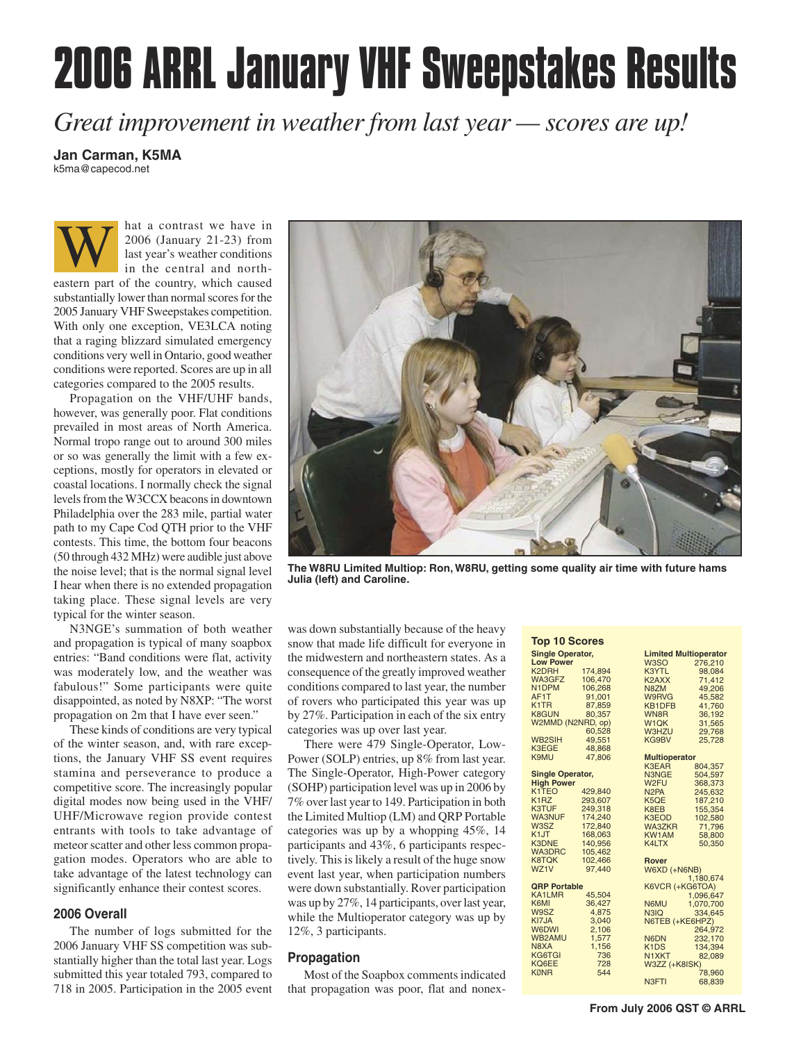# **2006 ARRL January VHF Sweepstakes Results**

*Great improvement in weather from last year — scores are up!*

# **Jan Carman, K5MA**

k5ma@capecod.net

hat a contrast we have in 2006 (January 21-23) from last year's weather conditions in the central and northeastern part of the country, which caused substantially lower than normal scores for the 2005 January VHF Sweepstakes competition. With only one exception, VE3LCA noting that a raging blizzard simulated emergency conditions very well in Ontario, good weather conditions were reported. Scores are up in all categories compared to the 2005 results. W

Propagation on the VHF/UHF bands, however, was generally poor. Flat conditions prevailed in most areas of North America. Normal tropo range out to around 300 miles or so was generally the limit with a few exceptions, mostly for operators in elevated or coastal locations. I normally check the signal levels from the W3CCX beacons in downtown Philadelphia over the 283 mile, partial water path to my Cape Cod QTH prior to the VHF contests. This time, the bottom four beacons (50 through 432 MHz) were audible just above the noise level; that is the normal signal level I hear when there is no extended propagation taking place. These signal levels are very typical for the winter season.

N3NGE's summation of both weather and propagation is typical of many soapbox entries: "Band conditions were flat, activity was moderately low, and the weather was fabulous!" Some participants were quite disappointed, as noted by N8XP: "The worst propagation on 2m that I have ever seen."

These kinds of conditions are very typical of the winter season, and, with rare exceptions, the January VHF SS event requires stamina and perseverance to produce a competitive score. The increasingly popular digital modes now being used in the VHF/ UHF/Microwave region provide contest entrants with tools to take advantage of meteor scatter and other less common propagation modes. Operators who are able to take advantage of the latest technology can significantly enhance their contest scores.

# **2006 Overall**

The number of logs submitted for the 2006 January VHF SS competition was substantially higher than the total last year. Logs submitted this year totaled 793, compared to 718 in 2005. Participation in the 2005 event



**The W8RU Limited Multiop: Ron, W8RU, getting some quality air time with future hams Julia (left) and Caroline.**

was down substantially because of the heavy snow that made life difficult for everyone in the midwestern and northeastern states. As a consequence of the greatly improved weather conditions compared to last year, the number of rovers who participated this year was up by 27%. Participation in each of the six entry categories was up over last year.

There were 479 Single-Operator, Low-Power (SOLP) entries, up 8% from last year. The Single-Operator, High-Power category (SOHP) participation level was up in 2006 by 7% over last year to 149. Participation in both the Limited Multiop (LM) and QRP Portable categories was up by a whopping 45%, 14 participants and 43%, 6 participants respectively. This is likely a result of the huge snow event last year, when participation numbers were down substantially. Rover participation was up by 27%, 14 participants, over last year, while the Multioperator category was up by 12%, 3 participants.

#### **Propagation**

Most of the Soapbox comments indicated that propagation was poor, flat and nonex-

| <b>Top 10 Scores</b>    |                |                                       |                              |  |  |  |  |
|-------------------------|----------------|---------------------------------------|------------------------------|--|--|--|--|
| <b>Single Operator,</b> |                |                                       | <b>Limited Multioperator</b> |  |  |  |  |
| <b>Low Power</b>        |                | W <sub>3</sub> SO                     | 276,210                      |  |  |  |  |
| K <sub>2</sub> DRH      | 174,894        | K3YTL                                 | 98,084                       |  |  |  |  |
| WA3GFZ                  | 106,470        | K2AXX                                 | 71,412                       |  |  |  |  |
| N <sub>1</sub> DPM      | 106,268        | N8ZM                                  | 49,206                       |  |  |  |  |
| AF <sub>1</sub> T       | 91,001         | W9RVG                                 | 45,582                       |  |  |  |  |
| K <sub>1</sub> TR       | 87,859         | KB1DFB                                | 41,760                       |  |  |  |  |
| <b>K8GUN</b>            | 80,357         | WN8R                                  | 36,192                       |  |  |  |  |
| W2MMD (N2NRD, op)       |                | W <sub>1</sub> QK                     | 31,565                       |  |  |  |  |
|                         | 60,528         | <b>W3HZU</b>                          | 29,768                       |  |  |  |  |
| <b>WB2SIH</b>           | 49,551         | KG9BV                                 | 25,728                       |  |  |  |  |
| <b>K3EGE</b>            | 48.868         |                                       |                              |  |  |  |  |
| <b>K9MU</b>             | 47.806         | <b>Multioperator</b>                  |                              |  |  |  |  |
|                         |                | <b>K3EAR</b>                          | 804,357                      |  |  |  |  |
| <b>Single Operator,</b> |                | N3NGE                                 | 504,597                      |  |  |  |  |
| <b>High Power</b>       |                | W <sub>2</sub> FU                     | 368,373                      |  |  |  |  |
| K1TEO                   | 429.840        | N <sub>2</sub> PA                     | 245,632                      |  |  |  |  |
| K <sub>1</sub> RZ       | 293.607        | K5OE                                  | 187,210                      |  |  |  |  |
| <b>K3TUF</b>            | 249,318        | K8EB                                  | 155,354                      |  |  |  |  |
| <b>WA3NUF</b>           | 174,240        | <b>K3EOD</b>                          | 102,580                      |  |  |  |  |
| W3SZ                    | 172,840        | WA3ZKR                                | 71,796                       |  |  |  |  |
| K <sub>1</sub> JT       | 168,063        | <b>KW1AM</b>                          | 58,800                       |  |  |  |  |
| <b>K3DNE</b>            | 140,956        | K4LTX                                 | 50,350                       |  |  |  |  |
| <b>WA3DRC</b>           | 105,462        |                                       |                              |  |  |  |  |
| <b>K8TQK</b>            | 102,466        | <b>Rover</b>                          |                              |  |  |  |  |
| WZ <sub>1</sub> V       | 97.440         | W6XD (+N6NB)                          |                              |  |  |  |  |
|                         |                |                                       | 1.180.674                    |  |  |  |  |
| <b>QRP Portable</b>     |                |                                       | K6VCR (+KG6TOA)              |  |  |  |  |
| <b>KA1LMR</b>           | 45,504         |                                       | 1,096,647                    |  |  |  |  |
| K6MI                    | 36,427         | N6MU                                  | 1,070,700                    |  |  |  |  |
| W9SZ<br>KI7JA           | 4,875          | N3IQ                                  | 334,645                      |  |  |  |  |
| <b>W6DWI</b>            | 3,040          | N6TEB (+KE6HPZ)                       |                              |  |  |  |  |
| WB2AMU                  | 2,106<br>1,577 |                                       | 264,972                      |  |  |  |  |
| N8XA                    | 1,156          | N6DN<br>K <sub>1</sub> D <sub>S</sub> | 232,170                      |  |  |  |  |
| KG6TGI                  | 736            | N1XKT                                 | 134,394<br>82.089            |  |  |  |  |
| <b>KO6EE</b>            | 728            |                                       |                              |  |  |  |  |
| <b>KØNR</b>             | 544            | W3ZZ (+K8ISK)                         | 78,960                       |  |  |  |  |
|                         |                | N <sub>3</sub> F <sub>TI</sub>        | 68,839                       |  |  |  |  |
|                         |                |                                       |                              |  |  |  |  |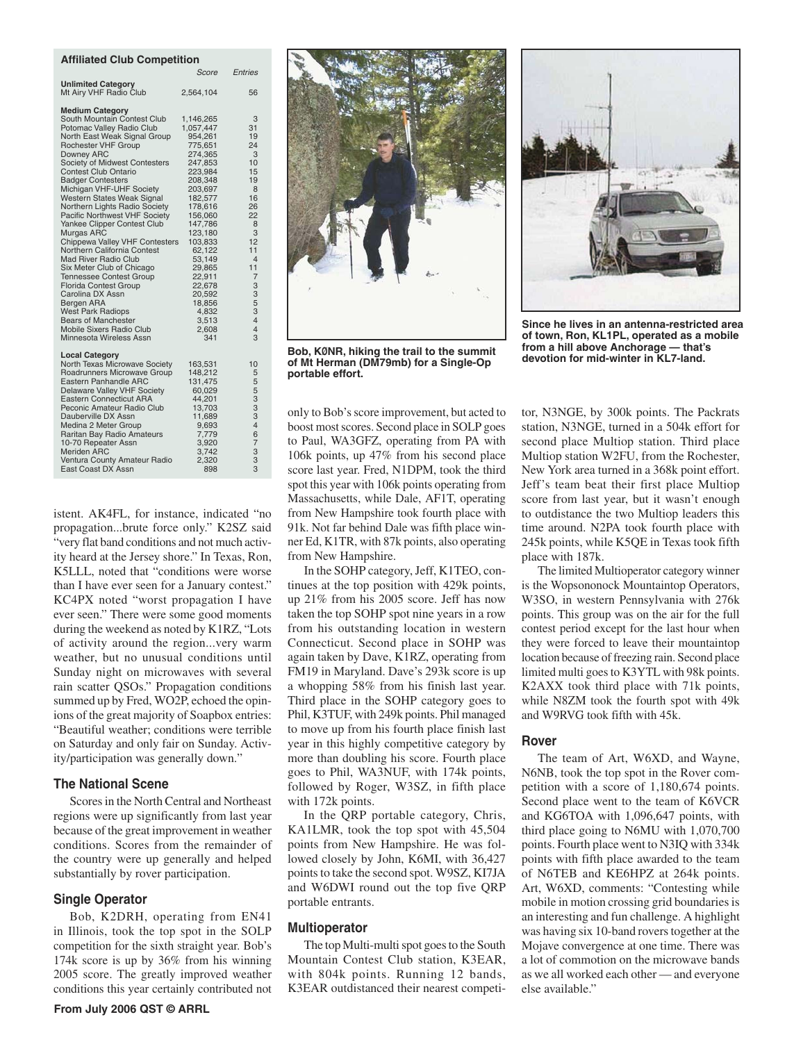#### **Affiliated Club Competition**

|                                                              | Score                  | Entries              |
|--------------------------------------------------------------|------------------------|----------------------|
| <b>Unlimited Category</b><br>Mt Airy VHF Radio Club          | 2,564,104              | 56                   |
|                                                              |                        |                      |
| <b>Medium Category</b>                                       |                        |                      |
| South Mountain Contest Club<br>Potomac Valley Radio Club     | 1,146,265<br>1,057,447 | 3<br>31              |
| North East Weak Signal Group                                 | 954,261                | 19                   |
| <b>Rochester VHF Group</b>                                   | 775,651                | 24                   |
| Downey ARC                                                   | 274,365                | 3                    |
| Society of Midwest Contesters<br><b>Contest Club Ontario</b> | 247,853                | 10<br>15             |
| <b>Badger Contesters</b>                                     | 223,984<br>208,348     | 19                   |
| Michigan VHF-UHF Society                                     | 203,697                | 8                    |
| Western States Weak Signal                                   | 182,577                | 16                   |
| Northern Lights Radio Society                                | 178,616                | 26                   |
| Pacific Northwest VHF Society<br>Yankee Clipper Contest Club | 156,060<br>147,786     | 22<br>8              |
| Murgas ARC                                                   | 123,180                | 3                    |
| Chippewa Valley VHF Contesters                               | 103,833                | 12                   |
| Northern California Contest                                  | 62,122                 | 11<br>$\overline{4}$ |
| <b>Mad River Radio Club</b><br>Six Meter Club of Chicago     | 53,149<br>29,865       | 11                   |
| <b>Tennessee Contest Group</b>                               | 22,911                 | 7                    |
| <b>Florida Contest Group</b>                                 | 22,678                 | 3                    |
| Carolina DX Assn                                             | 20,592                 | 3                    |
| Bergen ARA<br><b>West Park Radiops</b>                       | 18,856<br>4,832        | 5<br>3               |
| <b>Bears of Manchester</b>                                   | 3,513                  | $\overline{4}$       |
| Mobile Sixers Radio Club                                     | 2,608                  | 4                    |
| Minnesota Wireless Assn                                      | 341                    | 3                    |
| <b>Local Category</b>                                        |                        |                      |
| North Texas Microwave Society                                | 163,531                | 10                   |
| Roadrunners Microwave Group                                  | 148,212                | 5                    |
| Eastern Panhandle ARC<br>Delaware Valley VHF Society         | 131,475<br>60,029      | 5<br>5               |
| <b>Eastern Connecticut ARA</b>                               | 44,201                 | 3                    |
| Peconic Amateur Radio Club                                   | 13,703                 | 3                    |
| Dauberville DX Assn                                          | 11,689                 | 3                    |
| Medina 2 Meter Group<br>Raritan Bay Radio Amateurs           | 9,693<br>7,779         | $\overline{4}$<br>6  |
| 10-70 Repeater Assn                                          | 3,920                  | 7                    |
| <b>Meriden ARC</b>                                           | 3,742                  | 3                    |
| Ventura County Amateur Radio                                 | 2,320                  | 3                    |
| East Coast DX Assn                                           | 898                    | 3                    |

istent. AK4FL, for instance, indicated "no propagation...brute force only." K2SZ said "very flat band conditions and not much activity heard at the Jersey shore." In Texas, Ron, K5LLL, noted that "conditions were worse than I have ever seen for a January contest." KC4PX noted "worst propagation I have ever seen." There were some good moments during the weekend as noted by K1RZ, "Lots of activity around the region...very warm weather, but no unusual conditions until Sunday night on microwaves with several rain scatter QSOs." Propagation conditions summed up by Fred, WO2P, echoed the opinions of the great majority of Soapbox entries: "Beautiful weather; conditions were terrible on Saturday and only fair on Sunday. Activity/participation was generally down."

#### **The National Scene**

Scores in the North Central and Northeast regions were up significantly from last year because of the great improvement in weather conditions. Scores from the remainder of the country were up generally and helped substantially by rover participation.

#### **Single Operator**

Bob, K2DRH, operating from EN41 in Illinois, took the top spot in the SOLP competition for the sixth straight year. Bob's 174k score is up by 36% from his winning 2005 score. The greatly improved weather conditions this year certainly contributed not



Bob, KØNR, hiking the trail to the summit **of Mt Herman (DM79mb) for a Single-Op portable effort.**

only to Bob's score improvement, but acted to boost most scores. Second place in SOLP goes to Paul, WA3GFZ, operating from PA with 106k points, up 47% from his second place score last year. Fred, N1DPM, took the third spot this year with 106k points operating from Massachusetts, while Dale, AF1T, operating from New Hampshire took fourth place with 91k. Not far behind Dale was fifth place winner Ed, K1TR, with 87k points, also operating from New Hampshire.

In the SOHP category, Jeff, K1TEO, continues at the top position with 429k points, up 21% from his 2005 score. Jeff has now taken the top SOHP spot nine years in a row from his outstanding location in western Connecticut. Second place in SOHP was again taken by Dave, K1RZ, operating from FM19 in Maryland. Dave's 293k score is up a whopping 58% from his finish last year. Third place in the SOHP category goes to Phil, K3TUF, with 249k points. Phil managed to move up from his fourth place finish last year in this highly competitive category by more than doubling his score. Fourth place goes to Phil, WA3NUF, with 174k points, followed by Roger, W3SZ, in fifth place with 172k points.

In the QRP portable category, Chris, KA1LMR, took the top spot with 45,504 points from New Hampshire. He was followed closely by John, K6MI, with 36,427 points to take the second spot. W9SZ, KI7JA and W6DWI round out the top five QRP portable entrants.

#### **Multioperator**

The top Multi-multi spot goes to the South Mountain Contest Club station, K3EAR, with 804k points. Running 12 bands, K3EAR outdistanced their nearest competi-



**Since he lives in an antenna-restricted area of town, Ron, KL1PL, operated as a mobile from a hill above Anchorage — that's** 

tor, N3NGE, by 300k points. The Packrats station, N3NGE, turned in a 504k effort for second place Multiop station. Third place Multiop station W2FU, from the Rochester, New York area turned in a 368k point effort. Jeff's team beat their first place Multiop score from last year, but it wasn't enough to outdistance the two Multiop leaders this time around. N2PA took fourth place with 245k points, while K5QE in Texas took fifth place with 187k.

The limited Multioperator category winner is the Wopsononock Mountaintop Operators, W3SO, in western Pennsylvania with 276k points. This group was on the air for the full contest period except for the last hour when they were forced to leave their mountaintop location because of freezing rain. Second place limited multi goes to K3YTL with 98k points. K2AXX took third place with 71k points, while N8ZM took the fourth spot with 49k and W9RVG took fifth with 45k.

#### **Rover**

The team of Art, W6XD, and Wayne, N6NB, took the top spot in the Rover competition with a score of 1,180,674 points. Second place went to the team of K6VCR and KG6TOA with 1,096,647 points, with third place going to N6MU with 1,070,700 points. Fourth place went to N3IQ with 334k points with fifth place awarded to the team of N6TEB and KE6HPZ at 264k points. Art, W6XD, comments: "Contesting while mobile in motion crossing grid boundaries is an interesting and fun challenge. A highlight was having six 10-band rovers together at the Mojave convergence at one time. There was a lot of commotion on the microwave bands as we all worked each other — and everyone else available."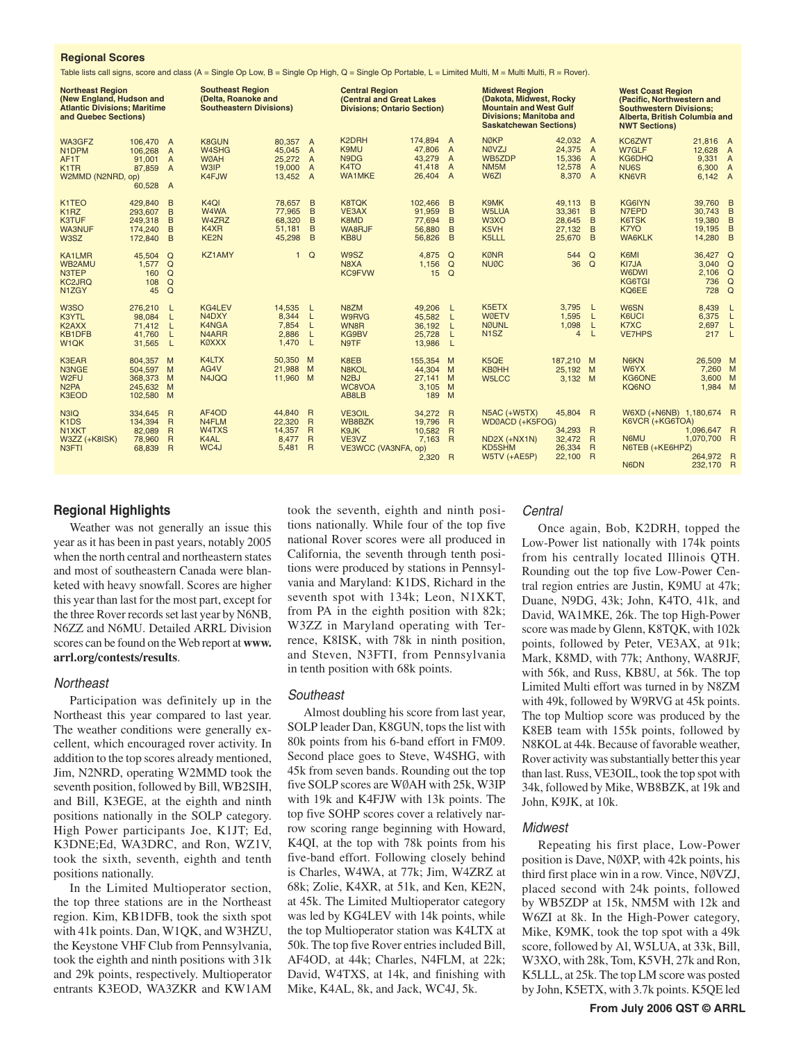#### **Regional Scores**

Table lists call signs, score and class (A = Single Op Low, B = Single Op High, Q = Single Op Portable, L = Limited Multi, M = Multi Multi, R = Rover).

| <b>Northeast Region</b><br>(New England, Hudson and<br><b>Atlantic Divisions; Maritime</b><br>and Quebec Sections) |                                                       |                                                                           | <b>Southeast Region</b><br>(Delta, Roanoke and<br><b>Southeastern Divisions)</b> |                                                        | <b>Central Region</b><br><b>(Central and Great Lakes</b><br><b>Divisions: Ontario Section)</b> |                                                                 | <b>Midwest Region</b><br>(Dakota, Midwest, Rocky<br><b>Mountain and West Gulf</b><br><b>Divisions; Manitoba and</b><br><b>Saskatchewan Sections)</b> |                                                                           | <b>West Coast Region</b><br>(Pacific, Northwestern and<br><b>Southwestern Divisions:</b><br>Alberta, British Columbia and<br><b>NWT Sections)</b> |                                                      |                                                                      |                                                                                |                                                       |                |
|--------------------------------------------------------------------------------------------------------------------|-------------------------------------------------------|---------------------------------------------------------------------------|----------------------------------------------------------------------------------|--------------------------------------------------------|------------------------------------------------------------------------------------------------|-----------------------------------------------------------------|------------------------------------------------------------------------------------------------------------------------------------------------------|---------------------------------------------------------------------------|---------------------------------------------------------------------------------------------------------------------------------------------------|------------------------------------------------------|----------------------------------------------------------------------|--------------------------------------------------------------------------------|-------------------------------------------------------|----------------|
| WA3GFZ<br>N1DPM<br>AF1T<br>K <sub>1</sub> TR<br>W2MMD (N2NRD, op)                                                  | 106,470 A<br>106.268<br>91.001<br>87,859<br>60,528 A  | $\overline{A}$<br>$\overline{A}$<br>$\overline{A}$                        | <b>K8GUN</b><br>W4SHG<br><b>WØAH</b><br>W3IP<br>K4FJW                            | 80.357 A<br>45.045<br>25.272 A<br>19,000 A<br>13,452 A | $\overline{A}$                                                                                 | K2DRH<br>K9MU<br>N9DG<br>K <sub>4</sub> TO<br><b>WA1MKE</b>     | 174,894<br>47.806<br>43,279<br>41.418<br>26,404                                                                                                      | $\overline{A}$<br>$\overline{A}$<br>A<br>$\overline{A}$<br>$\overline{A}$ | <b>NØKP</b><br>NØVZJ<br>WB5ZDP<br>NM <sub>5</sub> M<br>W6ZI                                                                                       | 42.032 A<br>24.375<br>15,336<br>12,578<br>8,370      | $\overline{A}$<br>$\overline{A}$<br>$\overline{A}$<br>$\overline{A}$ | KC6ZWT<br>W7GLF<br>KG6DHQ<br>NU <sub>6</sub> S<br><b>KN6VR</b>                 | 21.816 A<br>12,628 A<br>9,331 A<br>6,300 A<br>6.142 A |                |
| K <sub>1</sub> TEO<br>K <sub>1</sub> RZ<br><b>K3TUF</b><br><b>WA3NUF</b><br>W <sub>3</sub> SZ                      | 429.840<br>293.607<br>249,318<br>174,240<br>172,840   | B<br>B<br>B<br>B<br>B                                                     | K <sub>4</sub> QI<br>W4WA<br>W4ZRZ<br>K4XR<br>KE2N                               | 78,657<br>77,965<br>68,320<br>51.181<br>45,298         | B<br>B<br>B<br>B<br>B                                                                          | <b>K8TQK</b><br>VE3AX<br>K8MD<br>WA8RJF<br>KB8U                 | 102.466<br>91.959<br>77,694<br>56,880<br>56,826                                                                                                      | B<br>B<br>B<br>B<br>B                                                     | K9MK<br><b>W5LUA</b><br>W3XO<br>K5VH<br>K5LLL                                                                                                     | 49.113<br>33,361<br>28,645<br>27,132<br>25,670       | B<br>B<br>B<br>B<br>B                                                | KG6IYN<br>N7EPD<br>K6TSK<br>K7YO<br><b>WA6KLK</b>                              | 39,760 B<br>30.743<br>19,380<br>19,195<br>14,280 B    | B<br>B<br>B    |
| <b>KA1LMR</b><br>WB2AMU<br>N3TEP<br><b>KC2JRQ</b><br>N <sub>1</sub> Z <sub>G</sub> Y                               | 45.504<br>1.577<br>160<br>108<br>45                   | $\Omega$<br>$\Omega$<br>Q<br>$\Omega$<br>$\Omega$                         | KZ1AMY                                                                           | $\mathbf{1}$                                           | $\mathsf Q$                                                                                    | W9SZ<br>N8XA<br><b>KC9FVW</b>                                   | 4.875<br>1,156<br>15                                                                                                                                 | $\Omega$<br>$\Omega$<br>$\Omega$                                          | <b>KØNR</b><br><b>NUØC</b>                                                                                                                        | 544<br>36                                            | $\Omega$<br>$\Omega$                                                 | K6MI<br>KI7JA<br><b>W6DWI</b><br>KG6TGI<br>KQ6EE                               | 36,427 Q<br>$3,040$ Q<br>$2,106$ Q<br>736 Q<br>728 Q  |                |
| W <sub>3</sub> SO<br>K3YTL<br>K <sub>2</sub> AXX<br><b>KB1DFB</b><br>W <sub>1</sub> QK                             | 276,210<br>98.084<br>71,412<br>41.760<br>31,565       | L<br>L<br>L<br>L<br>L                                                     | KG4LEV<br>N4DXY<br>K4NGA<br>N <sub>4</sub> ARR<br><b>KØXXX</b>                   | 14.535<br>8.344<br>7.854<br>2.886<br>1,470             | $\mathsf{L}$<br>-L<br>L<br>L<br><b>L</b>                                                       | N8ZM<br>W9RVG<br>WN8R<br>KG9BV<br>N9TF                          | 49.206<br>45.582<br>36,192<br>25.728<br>13.986                                                                                                       | $\mathsf{L}$<br>L.<br>L<br>L<br>L                                         | K5ETX<br><b>WØETV</b><br><b>NØUNL</b><br>N <sub>1</sub> SZ                                                                                        | 3.795<br>1,595<br>1,098<br>$\overline{4}$            | L<br>L<br>L<br><b>L</b>                                              | W6SN<br>K6UCI<br>K7XC<br><b>VE7HPS</b>                                         | 8.439<br>6.375<br>2,697<br>217 L                      | L<br>L<br>L    |
| <b>K3EAR</b><br>N3NGE<br>W <sub>2FU</sub><br>N <sub>2</sub> PA<br>K3EOD                                            | 804,357<br>504.597 M<br>368,373<br>245,632<br>102,580 | M<br>M<br>M<br>M                                                          | K4LTX<br>AG4V<br>N4JQQ                                                           | 50.350<br>21.988<br>11,960 M                           | M<br>- M                                                                                       | K8EB<br><b>N8KOL</b><br>N <sub>2</sub> BJ<br>WC8VOA<br>AB8LB    | 155,354<br>44.304<br>27.141<br>3,105<br>189                                                                                                          | M<br>M<br>M<br>M<br>M                                                     | K5QE<br><b>KBØHH</b><br>W5LCC                                                                                                                     | 187,210 M<br>25,192 M<br>3,132 M                     |                                                                      | N6KN<br>W6YX<br>KG6ONE<br><b>KQ6NO</b>                                         | 26,509 M<br>7,260 M<br>3.600 M<br>1,984 M             |                |
| N3IQ<br>K <sub>1</sub> D <sub>S</sub><br>N <sub>1</sub> XKT<br>W3ZZ (+K8ISK)<br>N3FTI                              | 334.645<br>134.394<br>82.089<br>78,960<br>68,839      | $\overline{R}$<br>$\overline{R}$<br>R<br>$\overline{R}$<br>$\overline{R}$ | AF4OD<br>N4FLM<br>W <sub>4</sub> T <sub>XS</sub><br>K4AL<br>WC4J                 | 44.840<br>22,320<br>14,357<br>8,477<br>5,481           | $\overline{R}$<br>$\overline{R}$<br>$\overline{R}$<br>$\overline{R}$<br>$\overline{R}$         | <b>VE3OIL</b><br>WB8BZK<br>K9JK<br>VE3VZ<br>VE3WCC (VA3NFA, op) | 34.272<br>19.796<br>10.582<br>7.163<br>2.320                                                                                                         | $\overline{R}$<br>R <sub>1</sub><br>$\mathsf{R}$<br><b>R</b><br>R         | <b>N5AC (+W5TX)</b><br>WDØACD (+K5FOG)<br>ND2X (+NX1N)<br>KD5SHM<br>$W5TV (+AE5P)$                                                                | 45,804 R<br>34,293 R<br>32,472<br>26.334<br>22,100 R | R<br>$\overline{R}$                                                  | W6XD (+N6NB) 1,180,674 R<br>K6VCR (+KG6TOA)<br>N6MU<br>N6TEB (+KE6HPZ)<br>N6DN | 1,096,647 R<br>1,070,700 R<br>264,972 R<br>232,170    | $\overline{R}$ |

#### **Regional Highlights**

Weather was not generally an issue this year as it has been in past years, notably 2005 when the north central and northeastern states and most of southeastern Canada were blanketed with heavy snowfall. Scores are higher this year than last for the most part, except for the three Rover records set last year by N6NB, N6ZZ and N6MU. Detailed ARRL Division scores can be found on the Web report at **www. arrl.org/contests/results**.

#### **Northeast**

Participation was definitely up in the Northeast this year compared to last year. The weather conditions were generally excellent, which encouraged rover activity. In addition to the top scores already mentioned, Jim, N2NRD, operating W2MMD took the seventh position, followed by Bill, WB2SIH, and Bill, K3EGE, at the eighth and ninth positions nationally in the SOLP category. High Power participants Joe, K1JT; Ed, K3DNE;Ed, WA3DRC, and Ron, WZ1V, took the sixth, seventh, eighth and tenth positions nationally.

In the Limited Multioperator section, the top three stations are in the Northeast region. Kim, KB1DFB, took the sixth spot with 41k points. Dan, W1QK, and W3HZU, the Keystone VHF Club from Pennsylvania, took the eighth and ninth positions with 31k and 29k points, respectively. Multioperator entrants K3EOD, WA3ZKR and KW1AM

took the seventh, eighth and ninth positions nationally. While four of the top five national Rover scores were all produced in California, the seventh through tenth positions were produced by stations in Pennsylvania and Maryland: K1DS, Richard in the seventh spot with 134k; Leon, N1XKT, from PA in the eighth position with 82k; W3ZZ in Maryland operating with Terrence, K8ISK, with 78k in ninth position, and Steven, N3FTI, from Pennsylvania in tenth position with 68k points.

#### Southeast

Almost doubling his score from last year, SOLP leader Dan, K8GUN, tops the list with 80k points from his 6-band effort in FM09. Second place goes to Steve, W4SHG, with 45k from seven bands. Rounding out the top five SOLP scores are WØAH with 25k, W3IP with 19k and K4FJW with 13k points. The top five SOHP scores cover a relatively narrow scoring range beginning with Howard, K4QI, at the top with 78k points from his five-band effort. Following closely behind is Charles, W4WA, at 77k; Jim, W4ZRZ at 68k; Zolie, K4XR, at 51k, and Ken, KE2N, at 45k. The Limited Multioperator category was led by KG4LEV with 14k points, while the top Multioperator station was K4LTX at 50k. The top five Rover entries included Bill, AF4OD, at 44k; Charles, N4FLM, at 22k; David, W4TXS, at 14k, and finishing with Mike, K4AL, 8k, and Jack, WC4J, 5k.

#### **Central**

Once again, Bob, K2DRH, topped the Low-Power list nationally with 174k points from his centrally located Illinois QTH. Rounding out the top five Low-Power Central region entries are Justin, K9MU at 47k; Duane, N9DG, 43k; John, K4TO, 41k, and David, WA1MKE, 26k. The top High-Power score was made by Glenn, K8TQK, with 102k points, followed by Peter, VE3AX, at 91k; Mark, K8MD, with 77k; Anthony, WA8RJF, with 56k, and Russ, KB8U, at 56k. The top Limited Multi effort was turned in by N8ZM with 49k, followed by W9RVG at 45k points. The top Multiop score was produced by the K8EB team with 155k points, followed by N8KOL at 44k. Because of favorable weather, Rover activity was substantially better this year than last. Russ, VE3OIL, took the top spot with 34k, followed by Mike, WB8BZK, at 19k and John, K9JK, at 10k.

#### Midwest

Repeating his first place, Low-Power position is Dave, NØXP, with 42k points, his third first place win in a row. Vince, NØVZJ, placed second with 24k points, followed by WB5ZDP at 15k, NM5M with 12k and W6ZI at 8k. In the High-Power category, Mike, K9MK, took the top spot with a 49k score, followed by Al, W5LUA, at 33k, Bill, W3XO, with 28k, Tom, K5VH, 27k and Ron, K5LLL, at 25k. The top LM score was posted by John, K5ETX, with 3.7k points. K5QE led